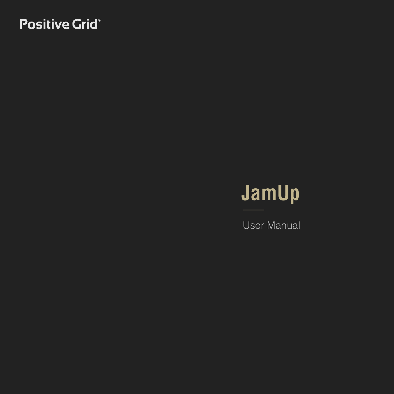## **Positive Grid®**

# **JamUp**

User Manual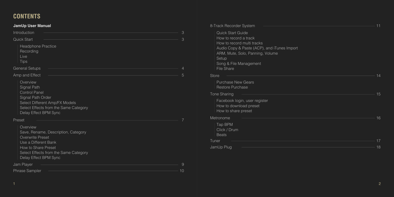## **CONTENTS**

### **JamUp User Manual**

| Introduction                                                                                                                                                                         | 3  |
|--------------------------------------------------------------------------------------------------------------------------------------------------------------------------------------|----|
| <b>Quick Start</b>                                                                                                                                                                   | 3  |
| <b>Headphone Practice</b><br>Recording<br>Live<br><b>Tips</b>                                                                                                                        |    |
| <b>General Setups</b>                                                                                                                                                                | 4  |
| Amp and Effect                                                                                                                                                                       | 5  |
| Overview<br>Signal Path<br>Control Panel<br>Signal Path Order<br>Select Different Amp/FX Models<br>Select Effects from the Same Category<br>Delay Effect BPM Sync                    |    |
| Preset                                                                                                                                                                               |    |
| Overview<br>Save, Rename, Description, Category<br>Overwrite Preset<br>Use a Different Bank<br>How to Share Preset<br>Select Effects from the Same Category<br>Delay Effect BPM Sync |    |
| Jam Player                                                                                                                                                                           |    |
| <b>Phrase Sampler</b>                                                                                                                                                                | 10 |

| 8-Track Recorder System                                                                                                                                                                                                    | 11 |
|----------------------------------------------------------------------------------------------------------------------------------------------------------------------------------------------------------------------------|----|
| <b>Quick Start Guide</b><br>How to record a track<br>How to record multi tracks<br>Audio Copy & Paste (ACP), and iTunes Import<br>ARM, Mute, Solo, Panning, Volume<br>Setup<br>Song & File Management<br><b>File Share</b> |    |
| Store                                                                                                                                                                                                                      | 14 |
| <b>Purchase New Gears</b><br>Restore Purchase                                                                                                                                                                              |    |
| <b>Tone Sharing</b>                                                                                                                                                                                                        | 15 |
| Facebook login, user register<br>How to download preset<br>How to share preset                                                                                                                                             |    |
| Metronome                                                                                                                                                                                                                  | 16 |
| Tap BPM<br>Click / Drum<br><b>Beats</b>                                                                                                                                                                                    |    |
| Tuner                                                                                                                                                                                                                      | 17 |
| JamUp Plug                                                                                                                                                                                                                 | 18 |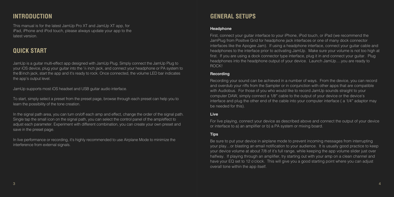### **INTRODUCTION**

This manual is for the latest JamUp Pro XT and JamUp XT app, for iPad, iPhone and iPod touch, please always update your app to the latest version.

### **QUICK START**

JamUp is a guitar multi-effect app designed with JamUp Plug. Simply connect the JamUp Plug to your iOS device, plug your guitar into the ¼ inch jack, and connect your headphone or PA system to the inch jack, start the app and it's ready to rock. Once connected, the volume LED bar indicates the app's output level.

JamUp supports most iOS headset and USB guitar audio interface.

To start, simply select a preset from the preset page, browse through each preset can help you to learn the possibility of the tone creation.

In the signal path area, you can turn on/off each amp and effect, change the order of the signal path. Single tap the small icon on the signal path, you can select the control panel of the amp/effect to adjust each parameter. Experiment with different combination, you can create your own preset and save in the preset page.

In live performance or recording, it's highly recommended to use Airplane Mode to minimize the interference from external signals.

## **GENERAL SETUPS**

#### **Headphone**

First, connect your guitar interface to your iPhone, iPod touch, or iPad (we recommend the JamPlug from Positive Grid for headphone jack interfaces or one of many dock connector interfaces like the Apogee Jam). If using a headphone interface, connect your guitar cable and headphones to the interface prior to activating JamUp. Make sure your volume is not too high at first. If you are using a dock connector type interface, plug it in and connect your guitar. Plug headphones into the headphone output of your device. Launch JamUp….you are ready to ROCK!

### **Recording**

Recording your sound can be achieved in a number of ways. From the device, you can record and overdub your riffs from the Sampler or in conjunction with other apps that are compatible with Audiobus. For those of you who would like to record JamUp sounds straight to your computer DAW, simply connect a 1/8″ cable to the output of your device or the device's interface and plug the other end of the cable into your computer interface ( a 1/4″ adaptor may be needed for this).

### **Live**

For live playing, connect your device as described above and connect the output of your device or interface to a) an amplifier or b) a PA system or mixing board.

### **Tips**

Be sure to put your device in airplane mode to prevent incoming messages from interrupting your play…or blasting an email notification to your audience. It is usually good practice to keep your device volume at about 7/8 of it's full range, while keeping the app volume slider just over halfway. If playing through an amplifier, try starting out with your amp on a clean channel and have your EQ set to 12 o'clock. This will give you a good starting point where you can adjust overall tone within the app itself.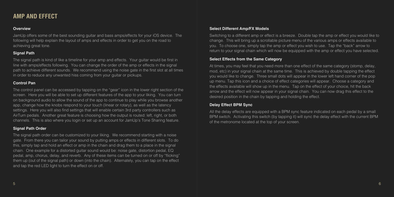### **AMP AND EFFECT**

### **Overview**

JamUp offers some of the best sounding guitar and bass amps/effects for your iOS device. The following will help explain the layout of amps and effects in order to get you on the road to achieving great tone.

### **Signal Path**

The signal path is kind of like a timeline for your amp and effects. Your guitar would be first in line with amps/effects following. You can change the order of the amp or effects in the signal path to achieve different sounds. We recommend using the noise gate in the first slot at all times in order to reduce any unwanted hiss coming from your guitar or pickups.

### **Control Pan**

The control panel can be accessed by tapping on the "gear" icon in the lower right section of the screen. Here you will be able to set up different features of the app to your liking. You can turn on background audio to allow the sound of the app to continue to play while you browse another app, change how the knobs respond to your touch (linear or rotary), as well as the latency settings. Here you will also find settings that will enable certain 3rd party controllers such as AirTurn pedals. Another great feature is choosing how the output is routed: left, right, or both channels. This is also where you login or set up an account for JamUp's Tone Sharing feature.

### **Signal Path Order**

The signal path order can be customized to your liking. We recommend starting with a noise gate. From there you can tailor your sound by putting amps or effects in different slots. To do this, simply tap and hold an effect or amp in the chain and drag them to a place in the signal chain. One example for a distorted guitar sound would be: noise gate, distortion pedal, EQ pedal, amp, chorus, delay, and reverb. Any of these items can be turned on or off by "flicking" them up (out of the signal path) or down (into the chain). Alternately, you can tap on the effect and tap the red LED light to turn the effect on or off.

### **Select Different Amp/FX Models**

Switching to a different amp or effect is a breeze. Double tap the amp or effect you would like to change. This will bring up a scrollable picture menu of the various amps or effects available to you. To choose one, simply tap the amp or effect you wish to use. Tap the "back" arrow to return to your signal chain which will now be equipped with the amp or effect you have selected.

### **Select Effects from the Same Category**

At times, you may feel that you need more than one effect of the same category (stomp, delay, mod, etc) in your signal chain at the same time. This is achieved by double tapping the effect you would like to change. Three small dots will appear in the lower left hand corner of the pop up menu. Tap this icon and a choice of effect categories will appear. Choose a category and the effects available will show up in the menu. Tap on the effect of your choice, hit the back arrow and the effect will now appear in your signal chain. You can now drag this effect to the desired position in the chain by tapping and holding the effect.

### **Delay Effect BPM Sync**

All the delay effects are equipped with a BPM sync feature indicated on each pedal by a small BPM switch. Activating this switch (by tapping it) will sync the delay effect with the current BPM of the metronome located at the top of your screen.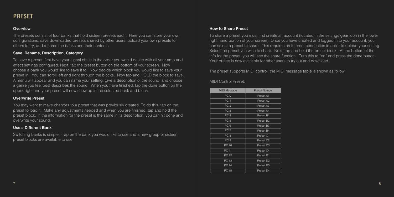### **PRESET**

### **Overview**

The presets consist of four banks that hold sixteen presets each. Here you can store your own configurations, save downloaded presets shared by other users, upload your own presets for others to try, and rename the banks and their contents.

#### **Save, Rename, Description, Category**

To save a preset, first have your signal chain in the order you would desire with all your amp and effect settings configured. Next, tap the preset button on the bottom of your screen. Now choose a bank you would like to save it to. Now decide which block you would like to save your preset in. You can scroll left and right through the blocks. Now tap and HOLD the block to save. A menu will appear and you can name your setting, give a description of the sound, and choose a genre you feel best describes the sound. When you have finished, tap the done button on the upper right and your preset will now show up in the selected bank and block.

### **Overwrite Preset**

You may want to make changes to a preset that was previously created. To do this, tap on the preset to load it. Make any adjustments needed and when you are finished, tap and hold the preset block. If the information for the preset is the same in its description, you can hit done and overwrite your sound.

### **Use a Different Bank**

Switching banks is simple. Tap on the bank you would like to use and a new group of sixteen preset blocks are available to use.

### **How to Share Preset**

To share a preset you must first create an account (located in the settings gear icon in the lower right hand portion of your screen). Once you have created and logged in to your account, you can select a preset to share. This requires an Internet connection in order to upload your setting. Select the preset you wish to share. Next, tap and hold the preset block. At the bottom of the info for the preset, you will see the share function. Turn this to "on" and press the done button. Your preset is now available for other users to try out and download.

The preset supports MIDI control, the MIDI message table is shown as follow:

### MIDI Control Preset:

| <b>MIDI Message</b> | <b>Preset Number</b>  |
|---------------------|-----------------------|
| PC <sub>0</sub>     | Preset A1             |
| PC <sub>1</sub>     | Preset A2             |
| PC <sub>2</sub>     | Preset A3             |
| PC <sub>3</sub>     | Preset A4             |
| PC <sub>4</sub>     | Preset B1             |
| PC <sub>5</sub>     | Preset B <sub>2</sub> |
| PC <sub>6</sub>     | Preset B3             |
| PC <sub>7</sub>     | Preset B4             |
| PC <sub>8</sub>     | Preset C1             |
| PC <sub>9</sub>     | Preset C <sub>2</sub> |
| <b>PC 10</b>        | Preset C <sub>3</sub> |
| PC 11               | Preset C4             |
| <b>PC 12</b>        | Preset D1             |
| PC 13               | Preset D <sub>2</sub> |
| <b>PC 14</b>        | Preset D <sub>3</sub> |
| PC 15               | Preset D4             |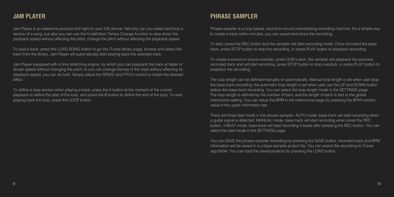Jam Player is an awesome practice tool right on your iOS device. Not only can you select and loop a section of a song, but also you can use the hi-definition Tempo Change function to slow down the playback speed without affecting the pitch, change the pitch without affecting the playback speed.

To load a track, press the LOAD SONG button to go into iTunes library page, browse and select the track from the library, Jam Player will automatically start playing back the selected track.

Jam Player equipped with a time stretching engine, by which you can playback the track at faster or slower speed without changing the pitch, or you can change the key of the track without affecting its playback speed, you can do both. Simply adjust the SPEED and PITCH control to obtain the desired effect.

To define a loop section when playing a track, press the A button at the moment of the current playback to define the start of the loop, and press the B button to define the end of the loop. To start playing back the loop, press the LOOP button.

### **JAM PLAYER PHRASE SAMPLER**

Phrase sampler is a loop based, sound-on-sound overdubbing recording machine. It's a simple way to create a track within minutes, you can export and share the recording.

To start, press the REC button and the sampler will start recording mode. Once recorded the base track, press STOP button to stop the recording, or press PLAY button to playback recording.

To create a sound-on-sound overdub, press DUB button, the sampler will playback the previous recorded track and will start recording, press STOP button to stop overdub, or press PLAY button to playback the recording.

The loop length can be defined manually or automatically. Manual loop length is set when user stop the base track recording; the automatic loop length is set when user use the UP and DOWN button before the base track recording. You can select the loop length mode in the SETTINGS page. The loop length is defined by the number of bars, and the length of each is tied to the global metronome setting. You can setup the BPM in the metronome page by pressing the BPM numeric value in the upper information bar.

There are three start mode in the phrase sampler: AUTO mode: base track will start recording when a guitar signal is detected. MANUAL mode: base track will start recording when press the REC button. 4 BEAT mode: base track will start recording 4 beats after pressing the REC button. You can select the start mode in the SETTINGS page.

You can SAVE the phrase sampler recording by pressing the SAVE button, recorded track and BPM information will be saved in a unique sampler project file. You can export the recording to iTunes app folder. You can load the saved projects by pressing the LOAD button.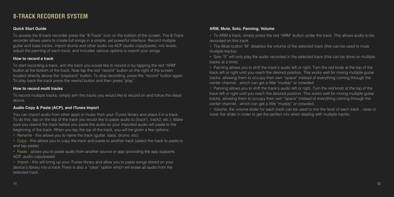### **8-TRACK RECORDER SYSTEM**

### **Quick Start Guide**

To access the 8-track recorder press the "8-Track" icon on the bottom of the screen. The 8-Track recorder allows users to create full songs in a simple, yet powerful interface. Record multiple guitar and bass tracks, import drums and other audio via ACP (audio copy/paste), mix levels, adjust the panning of each track, and includes various options to export your songs.

### **How to record a track**

To start recording a track, arm the track you would like to record in by tapping the red "ARM" button at the bottom of the track. Now tap the red "record" button on the right of the screen located directly above the "playback" button. To stop recording, press the "record" button again. To play back the track press the rewind button and then press "play".

### **How to record multi tracks**

To record multiple tracks, simply arm the tracks you would like to record on and follow the steps above.

### **Audio Copy & Paste (ACP), and iTunes Import**

You can import audio from other apps or music from your iTunes library and place it in a track. To do this, tap on the top of the track you would like to paste audio to (track1, track2, etc.). Make sure you rewind the track before you paste the audio so your imported audio will paste to the beginning of the track. When you tap the top of the track, you will be given a few options:

- ・ Rename this allows you to name the track (guitar, bass, drums, etc)
- ・ Copy this allows you to copy the track and paste to another track (select the track to paste to and tap paste)

• Paste - allows you to paste audio from another source or app (providing the app supports ACP..audio copy/paste)

・ Import - this will bring up your iTunes library and allow you to paste songs stored on your device's library into a track.There is also a "clear" option which will erase all audio from the selected track.

### **ARM, Mute, Solo, Panning, Volume**

- ・ To ARM a track, simply press the red "ARM" button under the track. This allows audio to be recorded on this track.
- ・ The Mute button "M" disables the volume of the selected track (this can be used to mute multiple tracks)
- ・ Solo "S" will only play the audio recorded in the selected track (this can be done on multiple tracks at a time)
- ・ Panning allows you to shift the track's audio left or right. Turn the red knob at the top of the track left or right until you reach the desired position. This works well for mixing multiple guitar tracks, allowing them to occupy their own "space" instead of everything coming through the center channel…which can get a little "muddy" or crowded.
- ・ Panning allows you to shift the track's audio left or right. Turn the red knob at the top of the track left or right until you reach the desired position. This works well for mixing multiple guitar tracks, allowing them to occupy their own "space" instead of everything coming through the center channel…which can get a little "muddy" or crowded.

・ Volume: the volume slider for each track can be used to mix the level of each track…raise or lower the slider in order to get the perfect mix when dealing with multiple tracks.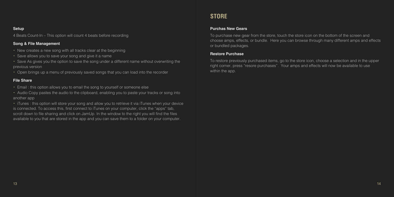#### **Setup**

4 Beats Count-In – This option will count 4 beats before recording

### **Song & File Management**

- ・ New creates a new song with all tracks clear at the beginning
- ・ Save allows you to save your song and give it a name
- Save As gives you the option to save the song under a different name without overwriting the previous version
- ・ Open brings up a menu of previously saved songs that you can load into the recorder

### **File Share**

- ・ Email : this option allows you to email the song to yourself or someone else
- ・ Audio Copy pastes the audio to the clipboard, enabling you to paste your tracks or song into another app

・ iTunes : this option will store your song and allow you to retrieve it via iTunes when your device is connected. To access this, first connect to iTunes on your computer, click the "apps" tab, scroll down to file sharing and click on JamUp. In the window to the right you will find the files available to you that are stored in the app and you can save them to a folder on your computer.

### **STORE**

#### **Purchas New Gears**

To purchase new gear from the store, touch the store icon on the bottom of the screen and choose amps, effects, or bundle. Here you can browse through many different amps and effects or bundled packages.

#### **Restore Purchase**

To restore previously purchased items, go to the store icon, choose a selection and in the upper right corner, press "resore purchases". Your amps and effects will now be available to use within the app.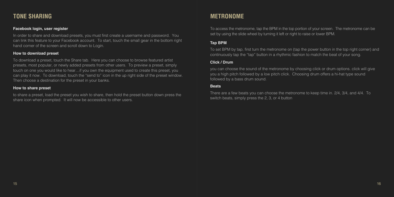### **TONE SHARING**

### **Facebook login, user register**

In order to share and download presets, you must first create a username and password. You can link this feature to your Facebook account. To start, touch the small gear in the bottom right hand corner of the screen and scroll down to Login.

#### **How to download preset**

To download a preset, touch the Share tab. Here you can choose to browse featured artist presets, most popular, or newly added presets from other users. To preview a preset, simply touch on one you would like to hear…if you own the equipment used to create this preset, you can play it now. To download, touch the "send to" icon in the up right side of the preset window. Then choose a destination for the preset in your banks.

#### **How to share preset**

to share a preset, load the preset you wish to share, then hold the preset button down press the share icon when prompted. It will now be accessible to other users.

### **METRONOME**

To access the metronome, tap the BPM in the top portion of your screen. The metronome can be set by using the slide wheel by turning it left or right to raise or lower BPM.

### **Tap BPM**

To set BPM by tap, first turn the metronome on (tap the power button in the top right corner) and continuously tap the "tap" button in a rhythmic fashion to match the beat of your song.

### **Click / Drum**

you can choose the sound of the metronome by choosing click or drum options. click will give you a high pitch followed by a low pitch click. Choosing drum offers a hi-hat type sound followed by a bass drum sound.

#### **Beats**

There are a few beats you can choose the metronome to keep time in. 2/4, 3/4, and 4/4. To switch beats, simply press the 2, 3, or 4 button